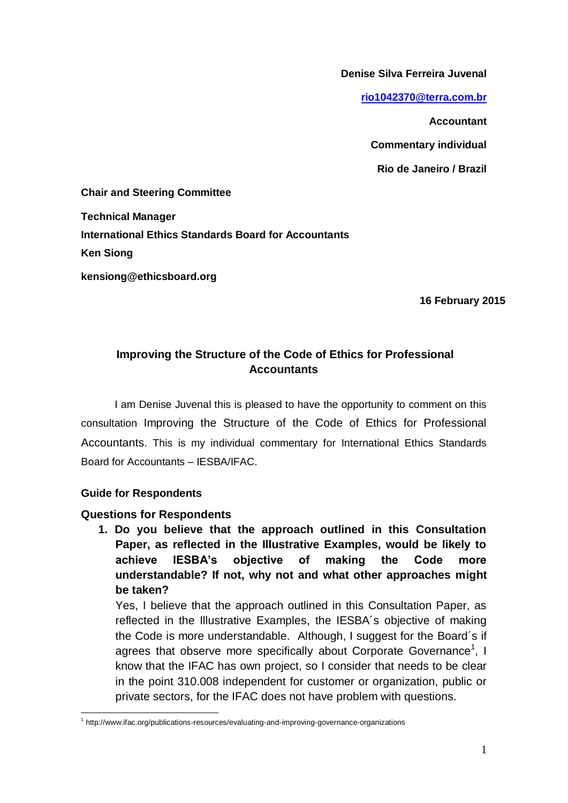**Denise Silva Ferreira Juvenal**

**[rio1042370@terra.com.br](mailto:rio1042370@terra.com.br)**

**Accountant** 

**Commentary individual**

**Rio de Janeiro / Brazil**

**Chair and Steering Committee**

**Technical Manager International Ethics Standards Board for Accountants Ken Siong kensiong@ethicsboard.org** 

**16 February 2015**

## **Improving the Structure of the Code of Ethics for Professional Accountants**

I am Denise Juvenal this is pleased to have the opportunity to comment on this consultation Improving the Structure of the Code of Ethics for Professional Accountants. This is my individual commentary for International Ethics Standards Board for Accountants – IESBA/IFAC.

## **Guide for Respondents**

 $\overline{a}$ 

## **Questions for Respondents**

**1. Do you believe that the approach outlined in this Consultation Paper, as reflected in the Illustrative Examples, would be likely to achieve IESBA's objective of making the Code more understandable? If not, why not and what other approaches might be taken?** 

Yes, I believe that the approach outlined in this Consultation Paper, as reflected in the Illustrative Examples, the IESBA´s objective of making the Code is more understandable. Although, I suggest for the Board´s if agrees that observe more specifically about Corporate Governance<sup>1</sup>, I know that the IFAC has own project, so I consider that needs to be clear in the point 310.008 independent for customer or organization, public or private sectors, for the IFAC does not have problem with questions.

<sup>&</sup>lt;sup>1</sup> http://www.ifac.org/publications-resources/evaluating-and-improving-governance-organizations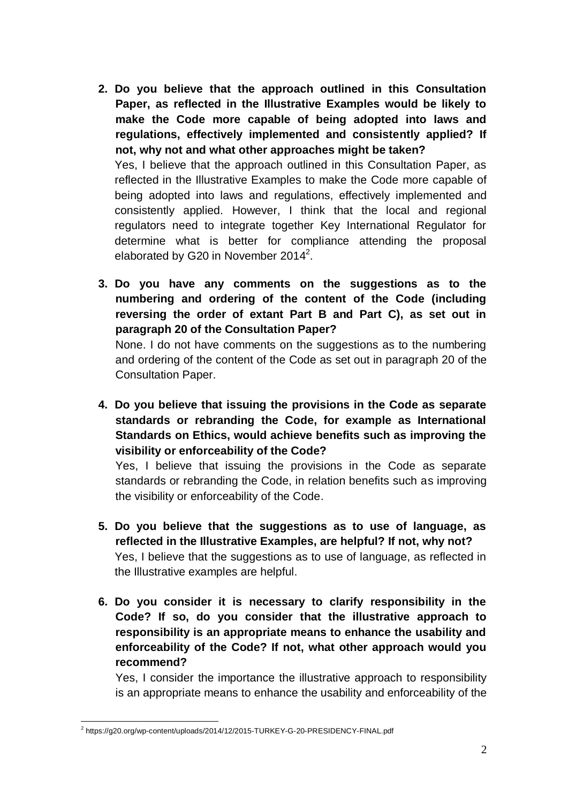**2. Do you believe that the approach outlined in this Consultation Paper, as reflected in the Illustrative Examples would be likely to make the Code more capable of being adopted into laws and regulations, effectively implemented and consistently applied? If not, why not and what other approaches might be taken?**  Yes, I believe that the approach outlined in this Consultation Paper, as

reflected in the Illustrative Examples to make the Code more capable of being adopted into laws and regulations, effectively implemented and consistently applied. However, I think that the local and regional regulators need to integrate together Key International Regulator for determine what is better for compliance attending the proposal elaborated by G20 in November 2014<sup>2</sup>.

**3. Do you have any comments on the suggestions as to the numbering and ordering of the content of the Code (including reversing the order of extant Part B and Part C), as set out in paragraph 20 of the Consultation Paper?** 

None. I do not have comments on the suggestions as to the numbering and ordering of the content of the Code as set out in paragraph 20 of the Consultation Paper.

**4. Do you believe that issuing the provisions in the Code as separate standards or rebranding the Code, for example as International Standards on Ethics, would achieve benefits such as improving the visibility or enforceability of the Code?** 

Yes, I believe that issuing the provisions in the Code as separate standards or rebranding the Code, in relation benefits such as improving the visibility or enforceability of the Code.

- **5. Do you believe that the suggestions as to use of language, as reflected in the Illustrative Examples, are helpful? If not, why not?**  Yes, I believe that the suggestions as to use of language, as reflected in the Illustrative examples are helpful.
- **6. Do you consider it is necessary to clarify responsibility in the Code? If so, do you consider that the illustrative approach to responsibility is an appropriate means to enhance the usability and enforceability of the Code? If not, what other approach would you recommend?**

Yes, I consider the importance the illustrative approach to responsibility is an appropriate means to enhance the usability and enforceability of the

 $\overline{a}$ <sup>2</sup> https://g20.org/wp-content/uploads/2014/12/2015-TURKEY-G-20-PRESIDENCY-FINAL.pdf